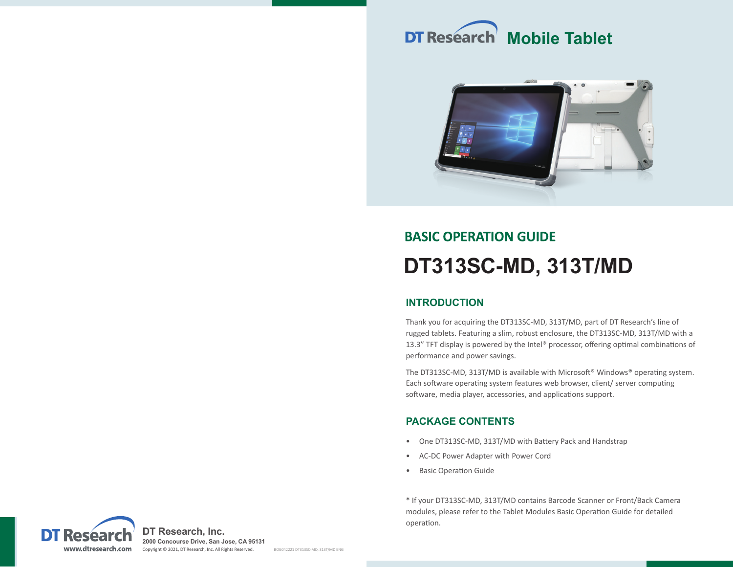# **DT Research Mobile Tablet**



## **BASIC OPERATION GUIDE DT313SC-MD, 313T/MD**

## **INTRODUCTION**

Thank you for acquiring the DT313SC-MD, 313T/MD, part of DT Research's line of rugged tablets. Featuring a slim, robust enclosure, the DT313SC-MD, 313T/MD with a 13.3" TFT display is powered by the Intel® processor, offering optimal combinations of performance and power savings.

The DT313SC-MD, 313T/MD is available with Microsoft® Windows® operating system. Each software operating system features web browser, client/ server computing software, media player, accessories, and applications support.

## **PACKAGE CONTENTS**

- One DT313SC-MD, 313T/MD with Battery Pack and Handstrap
- AC-DC Power Adapter with Power Cord
- Basic Operation Guide

\* If your DT313SC-MD, 313T/MD contains Barcode Scanner or Front/Back Camera modules, please refer to the Tablet Modules Basic Operation Guide for detailed operation.

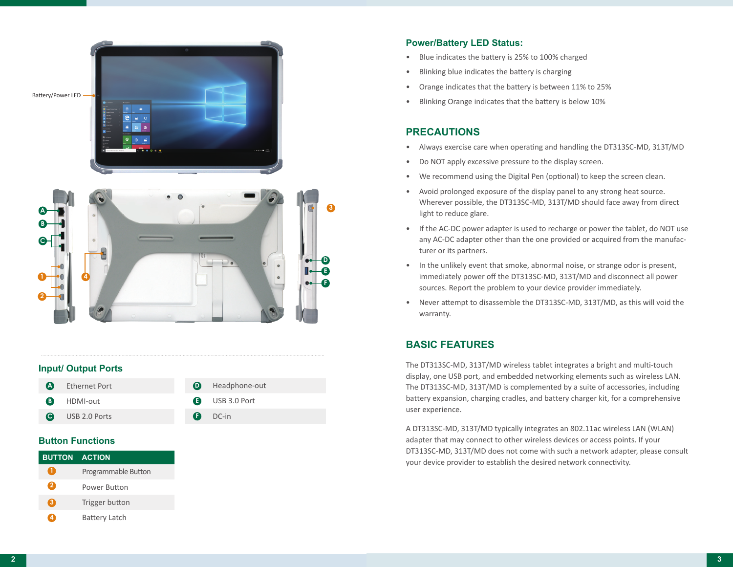



#### **Input/ Output Ports**

| <b>A</b> Ethernet Port | <b>D</b> Headphone-out |
|------------------------|------------------------|
| <b>B</b> HDMI-out      | <b>B</b> USB 3.0 Port  |
| <b>O</b> USB 2.0 Ports | $D$ DC-in              |

#### **Button Functions**

| <b>BUTTON ACTION</b> |                      |
|----------------------|----------------------|
| $\mathbf{1}$         | Programmable Button  |
| я                    | Power Button         |
| З                    | Trigger button       |
| 4                    | <b>Battery Latch</b> |

#### **Power/Battery LED Status:**

- Blue indicates the battery is 25% to 100% charged
- Blinking blue indicates the battery is charging
- Orange indicates that the battery is between 11% to 25%
- Blinking Orange indicates that the battery is below 10%

## **PRECAUTIONS**

- Always exercise care when operating and handling the DT313SC-MD, 313T/MD
- Do NOT apply excessive pressure to the display screen.
- We recommend using the Digital Pen (optional) to keep the screen clean.
- Avoid prolonged exposure of the display panel to any strong heat source. Wherever possible, the DT313SC-MD, 313T/MD should face away from direct light to reduce glare.
- If the AC-DC power adapter is used to recharge or power the tablet, do NOT use any AC-DC adapter other than the one provided or acquired from the manufacturer or its partners.
- In the unlikely event that smoke, abnormal noise, or strange odor is present, immediately power off the DT313SC-MD, 313T/MD and disconnect all power sources. Report the problem to your device provider immediately.
- Never attempt to disassemble the DT313SC-MD, 313T/MD, as this will void the warranty.

## **BASIC FEATURES**

The DT313SC-MD, 313T/MD wireless tablet integrates a bright and multi-touch display, one USB port, and embedded networking elements such as wireless LAN. The DT313SC-MD, 313T/MD is complemented by a suite of accessories, including battery expansion, charging cradles, and battery charger kit, for a comprehensive user experience.

A DT313SC-MD, 313T/MD typically integrates an 802.11ac wireless LAN (WLAN) adapter that may connect to other wireless devices or access points. If your DT313SC-MD, 313T/MD does not come with such a network adapter, please consult your device provider to establish the desired network connectivity.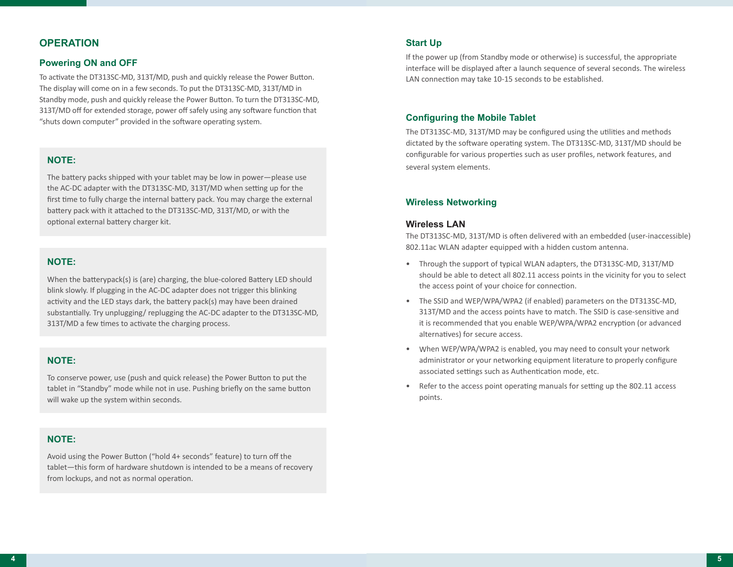### **OPERATION**

#### **Powering ON and OFF**

To activate the DT313SC-MD, 313T/MD, push and quickly release the Power Button. The display will come on in a few seconds. To put the DT313SC-MD, 313T/MD in Standby mode, push and quickly release the Power Button. To turn the DT313SC-MD, 313T/MD off for extended storage, power off safely using any software function that "shuts down computer" provided in the software operating system.

#### **NOTE:**

The battery packs shipped with your tablet may be low in power—please use the AC-DC adapter with the DT313SC-MD, 313T/MD when setting up for the first time to fully charge the internal battery pack. You may charge the external battery pack with it attached to the DT313SC-MD, 313T/MD, or with the optional external battery charger kit.

#### **NOTE:**

When the batterypack(s) is (are) charging, the blue-colored Battery LED should blink slowly. If plugging in the AC-DC adapter does not trigger this blinking activity and the LED stays dark, the battery pack(s) may have been drained substantially. Try unplugging/ replugging the AC-DC adapter to the DT313SC-MD, 313T/MD a few times to activate the charging process.

#### **NOTE:**

To conserve power, use (push and quick release) the Power Button to put the tablet in "Standby" mode while not in use. Pushing briefly on the same button will wake up the system within seconds.

#### **NOTE:**

Avoid using the Power Button ("hold 4+ seconds" feature) to turn off the tablet—this form of hardware shutdown is intended to be a means of recovery from lockups, and not as normal operation.

#### **Start Up**

If the power up (from Standby mode or otherwise) is successful, the appropriate interface will be displayed after a launch sequence of several seconds. The wireless LAN connection may take 10-15 seconds to be established.

#### **Configuring the Mobile Tablet**

The DT313SC-MD, 313T/MD may be configured using the utilities and methods dictated by the software operating system. The DT313SC-MD, 313T/MD should be configurable for various properties such as user profiles, network features, and several system elements.

#### **Wireless Networking**

#### **Wireless LAN**

The DT313SC-MD, 313T/MD is often delivered with an embedded (user-inaccessible) 802.11ac WLAN adapter equipped with a hidden custom antenna.

- Through the support of typical WLAN adapters, the DT313SC-MD, 313T/MD should be able to detect all 802.11 access points in the vicinity for you to select the access point of your choice for connection.
- The SSID and WEP/WPA/WPA2 (if enabled) parameters on the DT313SC-MD, 313T/MD and the access points have to match. The SSID is case-sensitive and it is recommended that you enable WEP/WPA/WPA2 encryption (or advanced alternatives) for secure access.
- When WEP/WPA/WPA2 is enabled, you may need to consult your network administrator or your networking equipment literature to properly configure associated settings such as Authentication mode, etc.
- Refer to the access point operating manuals for setting up the 802.11 access points.